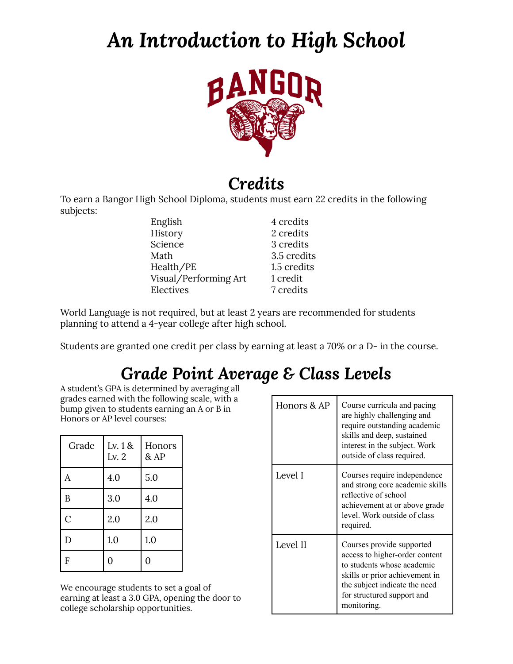# *An Introduction to High School*



#### *Credits*

To earn a Bangor High School Diploma, students must earn 22 credits in the following subjects:

| English               | 4 credits   |
|-----------------------|-------------|
| History               | 2 credits   |
| Science               | 3 credits   |
| Math                  | 3.5 credits |
| Health/PE             | 1.5 credits |
| Visual/Performing Art | 1 credit    |
| Electives             | 7 credits   |

World Language is not required, but at least 2 years are recommended for students planning to attend a 4-year college after high school.

Students are granted one credit per class by earning at least a 70% or a D- in the course.

## *Grade Point Average & Class Levels*

A student's GPA is determined by averaging all grades earned with the following scale, with a bump given to students earning an A or B in Honors or AP level courses:

| Grade          | Lv. 1 &<br>Lv. $2$ | Honors<br>& AP |
|----------------|--------------------|----------------|
| A              | 4.0                | 5.0            |
| B              | 3.0                | 4.0            |
| $\overline{C}$ | 2.0                | 2.0            |
| D              | 1.0                | 1.0            |
| F              | 0                  | 0              |

We encourage students to set a goal of earning at least a 3.0 GPA, opening the door to college scholarship opportunities.

| Honors & AP | Course curricula and pacing<br>are highly challenging and<br>require outstanding academic<br>skills and deep, sustained<br>interest in the subject. Work<br>outside of class required.                    |
|-------------|-----------------------------------------------------------------------------------------------------------------------------------------------------------------------------------------------------------|
| Level I     | Courses require independence<br>and strong core academic skills<br>reflective of school<br>achievement at or above grade<br>level. Work outside of class<br>required.                                     |
| Level II    | Courses provide supported<br>access to higher-order content<br>to students whose academic<br>skills or prior achievement in<br>the subject indicate the need<br>for structured support and<br>monitoring. |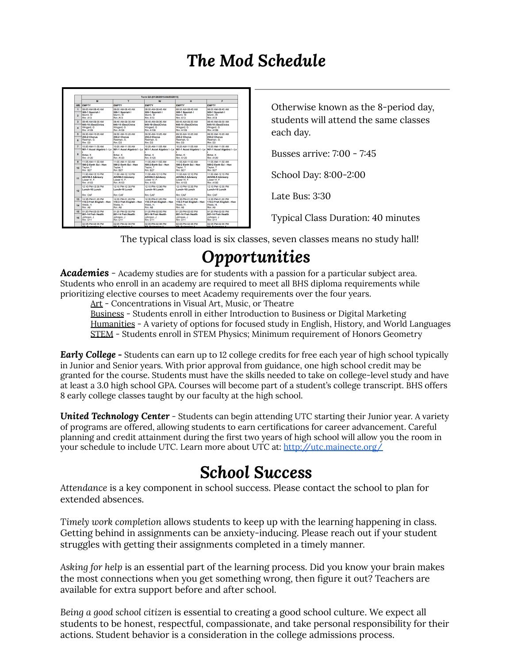### *The Mod Schedule*

|                                  | Term Q3 (01/26/2015-04/03/2015)                                           |                                                                           |                                                                             |                                                                           |                                                                              |  |  |
|----------------------------------|---------------------------------------------------------------------------|---------------------------------------------------------------------------|-----------------------------------------------------------------------------|---------------------------------------------------------------------------|------------------------------------------------------------------------------|--|--|
|                                  | M                                                                         | Ŧ                                                                         | w                                                                           | н                                                                         | F                                                                            |  |  |
|                                  | <b>HR FMPTY</b>                                                           | <b>FMPTY</b>                                                              | <b>FMPTY</b>                                                                | <b>FMPTY</b>                                                              | <b>FMPTY</b>                                                                 |  |  |
| $\blacksquare$<br>$\overline{ }$ | 08:00 AM-08:45 AM<br>500-1 Spanish I<br>Morrill, W<br><b>Rm: A13</b>      | 08:00 AM-08:45 AM<br>500-1 Spanish I<br>Morrill, W<br><b>Rm: A13</b>      | <b>MA 25-80-MA 00:00</b><br>500-1 Spanish I<br>Morrill, W<br><b>Rm: A13</b> | 08:00 AM-08:45 AM<br>500-1 Spanish I<br>Morrill. W<br><b>Rm: A13</b>      | <b>144 25:80-MA 00:90</b><br>500-1 Spanish I<br>Morrill, W<br><b>Rm: A13</b> |  |  |
| $\mathbf{a}$<br>$\blacksquare$   | 08:45 AM-09:30 AM<br>645-10 (Geo)Civics<br>Wingard, G<br>Rm: A109         | 08:45 AM-09:30 AM<br>645-10 (Geo)Civics<br>Wingard, G<br>Rm: A109         | 08:45 AM-09:30 AM<br>645-10 (Geo)Civics<br>Wingard, G<br>Rm: A109           | 08:45 AM-09:30 AM<br>645-10 (Geo)Civics<br>Wingard, G<br>Rm: A109         | 08:45 AM-09:30 AM<br>645-10 (Geo)Civics<br>Wingard, G<br>Rm: A109            |  |  |
| 6.<br>R.                         | 09:30 AM-10:20 AM<br><b>255-2 Chorus</b><br>Redman, G.<br>Rm: D3          | 09:30 AM-10:20 AM<br><b>255-2 Chorus</b><br>Redman <sub>G</sub><br>Rm: D3 | 09:30 AM-10:20 AM<br>255-2 Chorus<br>Redman, G.<br>Rm: D3                   | 09:30 AM-10:20 AM<br>255-2 Chorus<br>Redman, G.<br>Rm: D3                 | 09:30 AM-10:20 AM<br>255-2 Chorus<br>Redman, G.<br>Rm: D3                    |  |  |
| $\overline{ }$                   | 10:20 AM-11:05 AM                                                         | 10:20 AM-11:05 AM                                                         | 10:20 AM-11:05 AM                                                           | 10:20 AM-11:05 AM                                                         | 10:20 AM-11:05 AM                                                            |  |  |
| R                                | 901-1 Accel Algebra I - Ly<br>Birkel, K<br><b>Rm: 4120</b>                | 901-1 Accel Algebra I - Lv<br>Birkel, K<br><b>Rm: A120</b>                | 901-1 Accel Algebra I - Lv<br>Birkel, K<br>Rm: A120                         | 901-1 Accel Algebra I - Lv<br>Birkel, K<br><b>Rm: A120</b>                | 901-1 Accel Algebra I - Lv<br>Birkel, K<br>Rm: 4120                          |  |  |
| 9.<br>10                         | 11:05 AM-11:50 AM<br>590-2 Farth Sci - Hon<br>Taylor, T<br><b>Rm: B27</b> | 11:05 AM-11:50 AM<br>590-2 Farth Sci - Hon<br>Taylor, T<br>Rm: B27        | 11:05 AM-11:50 AM<br>590-2 Farth Sci - Hon<br>Taylor, T<br>Rm: B27          | 11:05 AM-11:50 AM<br>590-2 Farth Sci - Hon<br>Taylor, T<br><b>Rm: B27</b> | 11:05 AM-11:50 AM<br>590-2 Farth Sci - Hon<br>Taylor, T<br>Rm: B27           |  |  |
| 11                               | 11:50 AM-12:10 PM<br>ADV09-5 Advisory<br>Lower IV. F.<br><b>Rm: A103</b>  | 11:50 AM-12:10 PM<br>ADV09-5 Advisory<br>Lower IV. F.<br>Rm: A103         | 11:50 AM-12:10 PM<br>ADV09-5 Advisory<br>Lower IV. F.<br>Rm: A103           | 11:50 AM-12:10 PM<br>ADV09-5 Advisory<br>Lower IV. F.<br><b>Rm: A103</b>  | 11:50 AM-12:10 PM<br>ADV09-5 Advisory<br>Lower IV. F.<br>Rm: A103            |  |  |
| 12                               | 12:10 PM-12:35 PM<br>Lunch-16 Lunch<br><b>Rm: CAF</b>                     | 12:10 PM-12:35 PM<br>Lunch-16 Lunch<br><b>Rm: CAF</b>                     | 12:10 PM-12:35 PM<br>Lunch-16 Lunch<br><b>Rm: CAF</b>                       | 12:10 PM-12:35 PM<br>Lunch-16 Lunch<br><b>Rm: CAF</b>                     | 12:10 PM-12:35 PM<br>Lunch-16 Lunch<br><b>Rm: CAF</b>                        |  |  |
| 13 <sub>1</sub>                  | 12:35 PM-01:20 PM                                                         | 12:35 PM-01:20 PM                                                         | 12:35 PM-01:20 PM                                                           | 12:35 PM-01:20 PM                                                         | 12:35 PM-01:20 PM                                                            |  |  |
| 14                               | 110-3 Frsh English - Hon<br>Webb, H.<br>Rm: A8                            | 110-3 Frsh English - Hon<br>Webb <sub>H</sub><br><b>Rm: A8</b>            | 110-3 Frsh English - Hon<br>Webb <sub>H</sub><br><b>Rm: A8</b>              | 110-3 Frsh English - Hon<br>Webb <sub>H</sub><br>Rm: A8                   | 110-3 Frsh English - Hon<br>Webb <sub>H</sub><br>Rm: A8                      |  |  |
| 15                               | 01:20 PM-02:00 PM                                                         | 01:20 PM-02:00 PM                                                         | 01:20 PM-02:00 PM                                                           | 01:20 PM-02:00 PM                                                         | 01:20 PM-02:00 PM                                                            |  |  |
| 16                               | 801-14 Frsh Health<br>Johnson, J.<br>Rm: D11                              | 801-14 Freh Health<br>Johnson, J.<br><b>Rm: D11</b>                       | 801-14 Freh Health<br>Johnson, J.<br><b>Rm: D11</b>                         | 801-14 Freh Health<br>Johnson, J.<br><b>Rm: D11</b>                       | <b>R01-14 Freh Health</b><br>Johnson, J.<br><b>Rm: D11</b>                   |  |  |
|                                  | 02:05 PM 02:35 PM<br><b>CD</b> Curiospina 4                               | 02:05 PM-02:35 PM<br><b>CD</b> Customaker 4                               | 02:05 PM-02:35 PM<br><b>CD Culmation 1</b>                                  | 02:05 PM-02:35 PM<br><b>CD</b> Customerina 4                              | 02:05 PM-02:35 PM<br><b>OD</b> Customator 1                                  |  |  |

Otherwise known as the 8-period day, students will attend the same classes each day.

Busses arrive: 7:00 - 7:45

School Day: 8:00-2:00

Late Bus: 3:30

Typical Class Duration: 40 minutes

The typical class load is six classes, seven classes means no study hall!

### *Opportunities*

*Academies -* Academy studies are for students with a passion for a particular subject area. Students who enroll in an academy are required to meet all BHS diploma requirements while prioritizing elective courses to meet Academy requirements over the four years.

Art - Concentrations in Visual Art, Music, or Theatre

Business - Students enroll in either Introduction to Business or Digital Marketing Humanities - A variety of options for focused study in English, History, and World Languages STEM - Students enroll in STEM Physics; Minimum requirement of Honors Geometry

*Early College* **-** Students can earn up to 12 college credits for free each year of high school typically in Junior and Senior years. With prior approval from guidance, one high school credit may be granted for the course. Students must have the skills needed to take on college-level study and have at least a 3.0 high school GPA. Courses will become part of a student's college transcript. BHS offers 8 early college classes taught by our faculty at the high school.

*United Technology Center* - Students can begin attending UTC starting their Junior year. A variety of programs are offered, allowing students to earn certifications for career advancement. Careful planning and credit attainment during the first two years of high school will allow you the room in your schedule to include UTC. Learn more about UTC at: <http://utc.mainecte.org/>

#### *School Success*

*Attendance* is a key component in school success. Please contact the school to plan for extended absences.

*Timely work completion* allows students to keep up with the learning happening in class. Getting behind in assignments can be anxiety-inducing. Please reach out if your student struggles with getting their assignments completed in a timely manner.

*Asking for help* is an essential part of the learning process. Did you know your brain makes the most connections when you get something wrong, then figure it out? Teachers are available for extra support before and after school.

*Being a good school citizen* is essential to creating a good school culture. We expect all students to be honest, respectful, compassionate, and take personal responsibility for their actions. Student behavior is a consideration in the college admissions process.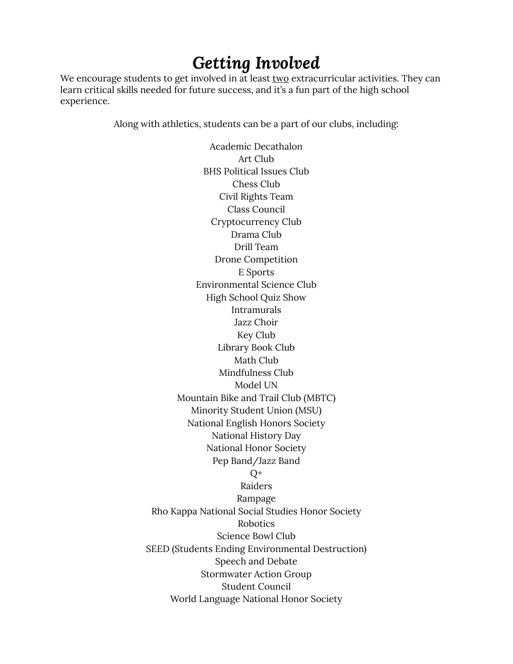### *Getting Involved*

We encourage students to get involved in at least two extracurricular activities. They can learn critical skills needed for future success, and it's a fun part of the high school experience.

Along with athletics, students can be a part of our clubs, including:

Academic Decathalon Art Club BHS Political Issues Club Chess Club Civil Rights Team Class Council Cryptocurrency Club Drama Club Drill Team Drone Competition E Sports Environmental Science Club High School Quiz Show Intramurals Jazz Choir Key Club Library Book Club Math Club Mindfulness Club Model UN Mountain Bike and Trail Club (MBTC) Minority Student Union (MSU) National English Honors Society National History Day National Honor Society Pep Band/Jazz Band  $Q^+$ Raiders Rampage Rho Kappa National Social Studies Honor Society Robotics Science Bowl Club SEED (Students Ending Environmental Destruction) Speech and Debate Stormwater Action Group Student Council World Language National Honor Society